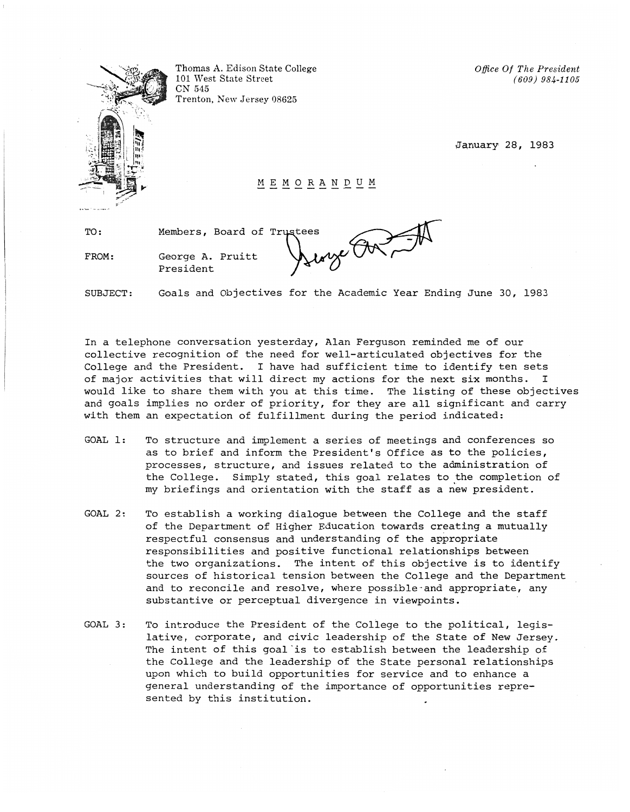

Thomas A. Edison State College 101 West State Street CN 545 Trenton, New Jersey 08625

*Office Of The President (609) 984-1105* 

January 28, 1983

HEHORANDUM

TO:

FROM: George A. Pruitt President

Members, Board

of Trustees  $\bigoplus_{\underline{u}\ \underline{w}}\bigoplus_{\underline{w}}\bigoplus_{\underline{v}}\bigoplus_{\underline{v}}\bigoplus_{\underline{v}}$ 

SUBJECT: Goals and Objectives for the Academic Year Ending June 30, 1983

In a telephone conversation yesterday, Alan Ferguson reminded me of our collective recognition of the need for well-articulated objectives for the College and the President. I have had sufficient time to identify ten sets of major activities that will direct my actions for the next six months. I would like to share them with you at this time. The listing of these objectives and goals implies no order of priority, for they are all significant and carry with them an expectation of fulfillment during the period indicated:

- GOAL 1: To structure and implement a series of meetings and conferences so as to brief and inform the President's Office as to the policies, processes, structure, and issues related to the administration of the College. Simply stated, this goal relates to the completion of my briefings and orientation with the staff as a new president.
- GOAL 2: To establish a working dialogue between the College and the staff of the Department of Higher Education towards creating a mutually respectful consensus and understanding of the appropriate responsibilities and positive functional relationships between the two organizations. The intent of this objective is to identify sources of historical tension between the College and the Department and to reconcile and resolve, where possible-and appropriate, any substantive or perceptual divergence in viewpoints.
- GOAL 3: To introduce the President of the College to the political, legislative, corporate, and civic leadership of the State of New Jersey. The intent of this goal is to establish between the leadership of the College and the leadership of the State personal relationships upon which to build opportunities for service and to enhance a general understanding of the importance of opportunities represented by this institution.